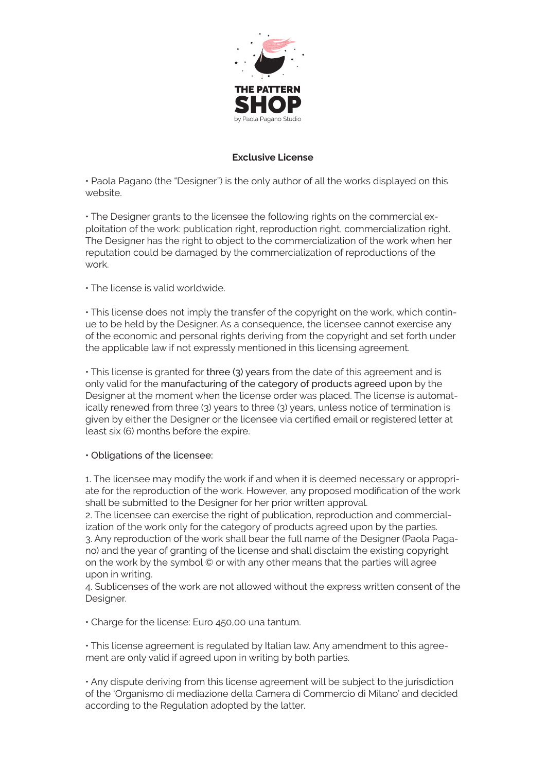

## **Exclusive License**

• Paola Pagano (the "Designer") is the only author of all the works displayed on this website.

• The Designer grants to the licensee the following rights on the commercial exploitation of the work: publication right, reproduction right, commercialization right. The Designer has the right to object to the commercialization of the work when her reputation could be damaged by the commercialization of reproductions of the work.

• The license is valid worldwide.

• This license does not imply the transfer of the copyright on the work, which continue to be held by the Designer. As a consequence, the licensee cannot exercise any of the economic and personal rights deriving from the copyright and set forth under the applicable law if not expressly mentioned in this licensing agreement.

• This license is granted for three (3) years from the date of this agreement and is only valid for the manufacturing of the category of products agreed upon by the Designer at the moment when the license order was placed. The license is automatically renewed from three (3) years to three (3) years, unless notice of termination is given by either the Designer or the licensee via certified email or registered letter at least six (6) months before the expire.

• Obligations of the licensee:

1. The licensee may modify the work if and when it is deemed necessary or appropriate for the reproduction of the work. However, any proposed modification of the work shall be submitted to the Designer for her prior written approval.

2. The licensee can exercise the right of publication, reproduction and commercialization of the work only for the category of products agreed upon by the parties. 3. Any reproduction of the work shall bear the full name of the Designer (Paola Pagano) and the year of granting of the license and shall disclaim the existing copyright on the work by the symbol © or with any other means that the parties will agree upon in writing.

4. Sublicenses of the work are not allowed without the express written consent of the Designer.

• Charge for the license: Euro 450,00 una tantum.

• This license agreement is regulated by Italian law. Any amendment to this agreement are only valid if agreed upon in writing by both parties.

• Any dispute deriving from this license agreement will be subject to the jurisdiction of the 'Organismo di mediazione della Camera di Commercio di Milano' and decided according to the Regulation adopted by the latter.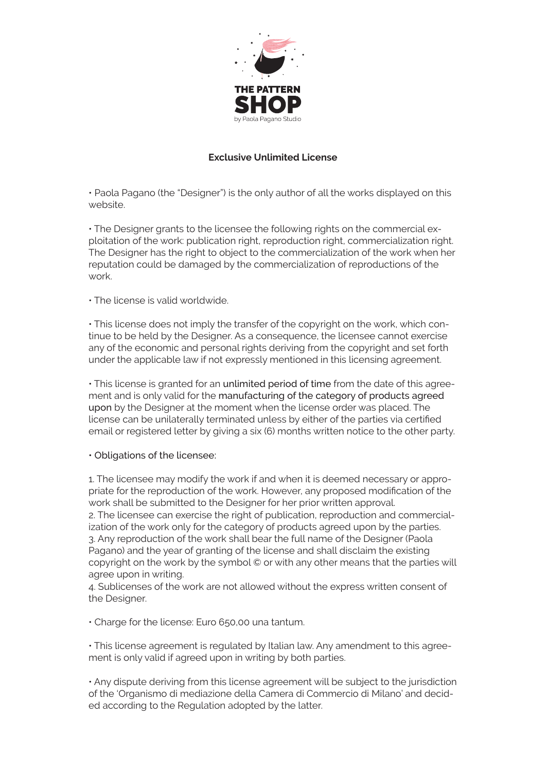

## **Exclusive Unlimited License**

• Paola Pagano (the "Designer") is the only author of all the works displayed on this website.

• The Designer grants to the licensee the following rights on the commercial exploitation of the work: publication right, reproduction right, commercialization right. The Designer has the right to object to the commercialization of the work when her reputation could be damaged by the commercialization of reproductions of the work.

## • The license is valid worldwide.

• This license does not imply the transfer of the copyright on the work, which continue to be held by the Designer. As a consequence, the licensee cannot exercise any of the economic and personal rights deriving from the copyright and set forth under the applicable law if not expressly mentioned in this licensing agreement.

• This license is granted for an unlimited period of time from the date of this agreement and is only valid for the manufacturing of the category of products agreed upon by the Designer at the moment when the license order was placed. The license can be unilaterally terminated unless by either of the parties via certified email or registered letter by giving a six (6) months written notice to the other party.

• Obligations of the licensee:

1. The licensee may modify the work if and when it is deemed necessary or appropriate for the reproduction of the work. However, any proposed modification of the work shall be submitted to the Designer for her prior written approval. 2. The licensee can exercise the right of publication, reproduction and commercialization of the work only for the category of products agreed upon by the parties. 3. Any reproduction of the work shall bear the full name of the Designer (Paola Pagano) and the year of granting of the license and shall disclaim the existing copyright on the work by the symbol © or with any other means that the parties will agree upon in writing.

4. Sublicenses of the work are not allowed without the express written consent of the Designer.

• Charge for the license: Euro 650,00 una tantum.

• This license agreement is regulated by Italian law. Any amendment to this agreement is only valid if agreed upon in writing by both parties.

• Any dispute deriving from this license agreement will be subject to the jurisdiction of the 'Organismo di mediazione della Camera di Commercio di Milano' and decided according to the Regulation adopted by the latter.